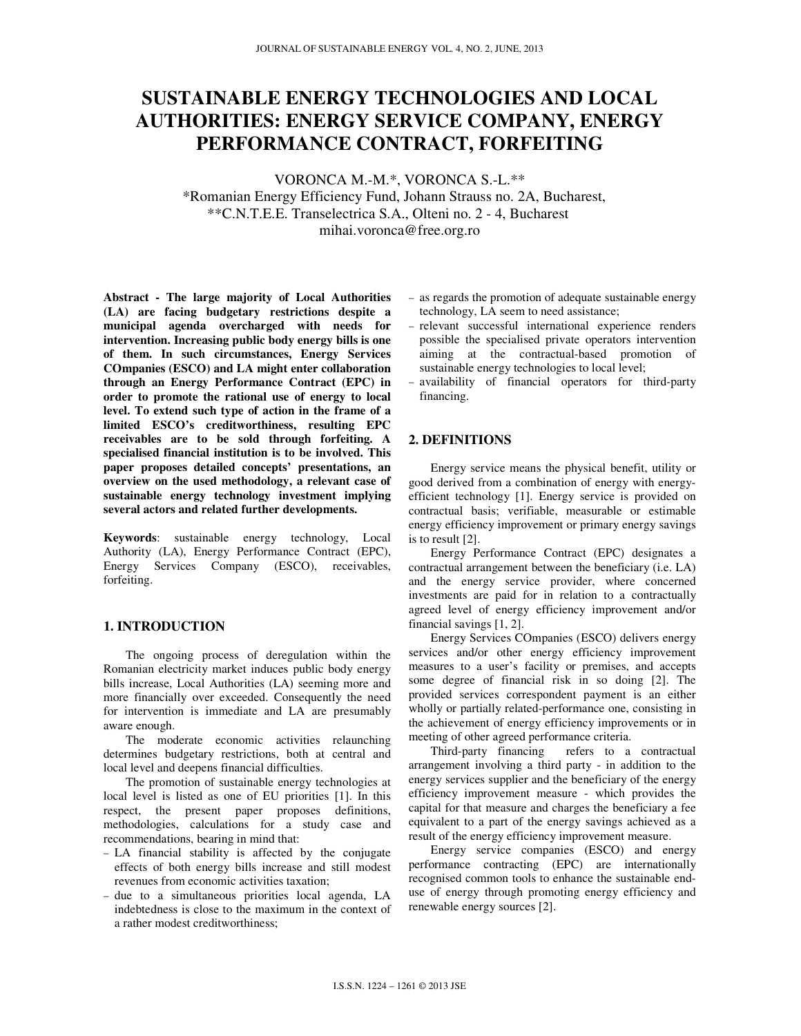# **SUSTAINABLE ENERGY TECHNOLOGIES AND LOCAL AUTHORITIES: ENERGY SERVICE COMPANY, ENERGY PERFORMANCE CONTRACT, FORFEITING**

VORONCA M.-M.\*, VORONCA S.-L.\*\* \*Romanian Energy Efficiency Fund, Johann Strauss no. 2A, Bucharest, \*\*C.N.T.E.E. Transelectrica S.A., Olteni no. 2 - 4, Bucharest mihai.voronca@free.org.ro

**Abstract - The large majority of Local Authorities (LA) are facing budgetary restrictions despite a municipal agenda overcharged with needs for intervention. Increasing public body energy bills is one of them. In such circumstances, Energy Services COmpanies (ESCO) and LA might enter collaboration through an Energy Performance Contract (EPC) in order to promote the rational use of energy to local level. To extend such type of action in the frame of a limited ESCO's creditworthiness, resulting EPC receivables are to be sold through forfeiting. A specialised financial institution is to be involved. This paper proposes detailed concepts' presentations, an overview on the used methodology, a relevant case of sustainable energy technology investment implying several actors and related further developments.** 

**Keywords**: sustainable energy technology, Local Authority (LA), Energy Performance Contract (EPC), Energy Services Company (ESCO), receivables, forfeiting.

# **1. INTRODUCTION**

The ongoing process of deregulation within the Romanian electricity market induces public body energy bills increase, Local Authorities (LA) seeming more and more financially over exceeded. Consequently the need for intervention is immediate and LA are presumably aware enough.

The moderate economic activities relaunching determines budgetary restrictions, both at central and local level and deepens financial difficulties.

The promotion of sustainable energy technologies at local level is listed as one of EU priorities [1]. In this respect, the present paper proposes definitions, methodologies, calculations for a study case and recommendations, bearing in mind that:

- − LA financial stability is affected by the conjugate effects of both energy bills increase and still modest revenues from economic activities taxation;
- − due to a simultaneous priorities local agenda, LA indebtedness is close to the maximum in the context of a rather modest creditworthiness;
- − as regards the promotion of adequate sustainable energy technology, LA seem to need assistance;
- − relevant successful international experience renders possible the specialised private operators intervention aiming at the contractual-based promotion of sustainable energy technologies to local level;
- − availability of financial operators for third-party financing.

## **2. DEFINITIONS**

Energy service means the physical benefit, utility or good derived from a combination of energy with energyefficient technology [1]. Energy service is provided on contractual basis; verifiable, measurable or estimable energy efficiency improvement or primary energy savings is to result [2].

Energy Performance Contract (EPC) designates a contractual arrangement between the beneficiary (i.e. LA) and the energy service provider, where concerned investments are paid for in relation to a contractually agreed level of energy efficiency improvement and/or financial savings [1, 2].

Energy Services COmpanies (ESCO) delivers energy services and/or other energy efficiency improvement measures to a user's facility or premises, and accepts some degree of financial risk in so doing [2]. The provided services correspondent payment is an either wholly or partially related-performance one, consisting in the achievement of energy efficiency improvements or in meeting of other agreed performance criteria.

Third-party financing refers to a contractual arrangement involving a third party - in addition to the energy services supplier and the beneficiary of the energy efficiency improvement measure - which provides the capital for that measure and charges the beneficiary a fee equivalent to a part of the energy savings achieved as a result of the energy efficiency improvement measure.

Energy service companies (ESCO) and energy performance contracting (EPC) are internationally recognised common tools to enhance the sustainable enduse of energy through promoting energy efficiency and renewable energy sources [2].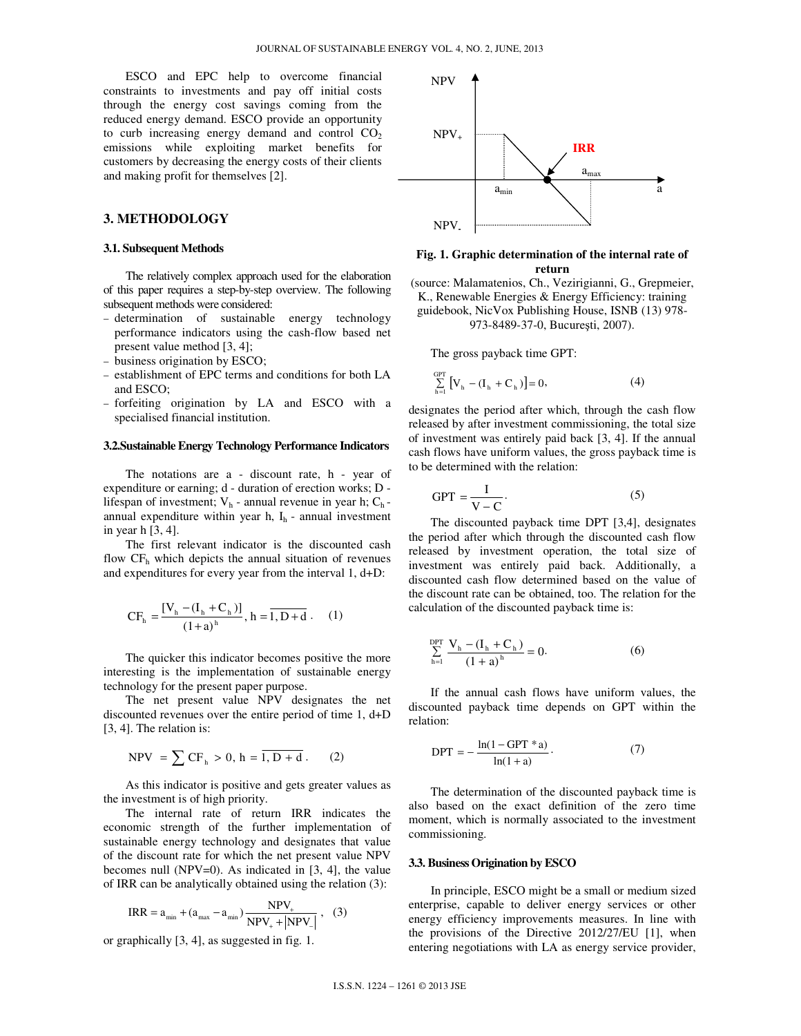ESCO and EPC help to overcome financial constraints to investments and pay off initial costs through the energy cost savings coming from the reduced energy demand. ESCO provide an opportunity to curb increasing energy demand and control  $CO<sub>2</sub>$ emissions while exploiting market benefits for customers by decreasing the energy costs of their clients and making profit for themselves [2].

# **3. METHODOLOGY**

#### **3.1. Subsequent Methods**

The relatively complex approach used for the elaboration of this paper requires a step-by-step overview. The following subsequent methods were considered:

- − determination of sustainable energy technology performance indicators using the cash-flow based net present value method [3, 4];
- − business origination by ESCO;
- − establishment of EPC terms and conditions for both LA and ESCO;
- − forfeiting origination by LA and ESCO with a specialised financial institution.

#### **3.2.Sustainable Energy Technology Performance Indicators**

The notations are a - discount rate, h - year of expenditure or earning; d - duration of erection works; D lifespan of investment;  $V_h$  - annual revenue in year h;  $C_h$ annual expenditure within year h,  $I_h$  - annual investment in year h [3, 4].

The first relevant indicator is the discounted cash flow  $CF<sub>h</sub>$  which depicts the annual situation of revenues and expenditures for every year from the interval 1, d+D:

$$
CF_{h} = \frac{[V_{h} - (I_{h} + C_{h})]}{(1+a)^{h}}, h = \overline{1, D + d}. \quad (1)
$$

The quicker this indicator becomes positive the more interesting is the implementation of sustainable energy technology for the present paper purpose.

The net present value NPV designates the net discounted revenues over the entire period of time 1, d+D [3, 4]. The relation is:

$$
NPV = \sum CF_h > 0, h = \overline{1, D + d}.
$$
 (2)

As this indicator is positive and gets greater values as the investment is of high priority.

The internal rate of return IRR indicates the economic strength of the further implementation of sustainable energy technology and designates that value of the discount rate for which the net present value NPV becomes null (NPV=0). As indicated in  $[3, 4]$ , the value of IRR can be analytically obtained using the relation (3):

$$
IRR = a_{\min} + (a_{\max} - a_{\min}) \frac{NPV_{+}}{NPV_{+} + |NPV_{-}|}, (3)
$$

or graphically [3, 4], as suggested in fig. 1.



#### **Fig. 1. Graphic determination of the internal rate of return**

(source: Malamatenios, Ch., Vezirigianni, G., Grepmeier, K., Renewable Energies & Energy Efficiency: training guidebook, NicVox Publishing House, ISNB (13) 978-

973-8489-37-0, Bucureşti, 2007).

The gross payback time GPT:

$$
\sum_{h=1}^{GPT} [V_h - (I_h + C_h)] = 0,
$$
\n(4)

designates the period after which, through the cash flow released by after investment commissioning, the total size of investment was entirely paid back [3, 4]. If the annual cash flows have uniform values, the gross payback time is to be determined with the relation:

$$
GPT = \frac{I}{V - C}.
$$
 (5)

The discounted payback time DPT [3,4], designates the period after which through the discounted cash flow released by investment operation, the total size of investment was entirely paid back. Additionally, a discounted cash flow determined based on the value of the discount rate can be obtained, too. The relation for the calculation of the discounted payback time is:

$$
\sum_{h=1}^{DPT} \frac{V_h - (I_h + C_h)}{(1 + a)^h} = 0.
$$
 (6)

If the annual cash flows have uniform values, the discounted payback time depends on GPT within the relation:

$$
DPT = -\frac{\ln(1 - GPT^*a)}{\ln(1 + a)}.
$$
 (7)

The determination of the discounted payback time is also based on the exact definition of the zero time moment, which is normally associated to the investment commissioning.

#### **3.3. Business Origination by ESCO**

In principle, ESCO might be a small or medium sized enterprise, capable to deliver energy services or other energy efficiency improvements measures. In line with the provisions of the Directive 2012/27/EU [1], when entering negotiations with LA as energy service provider,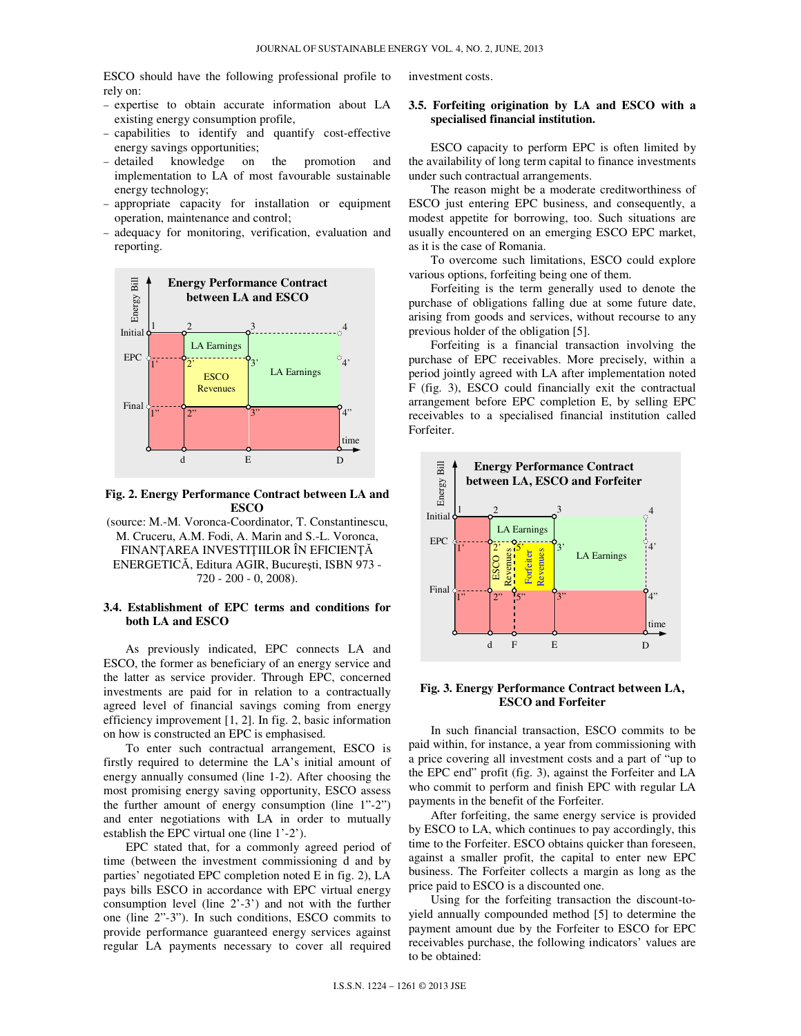ESCO should have the following professional profile to rely on:

- − expertise to obtain accurate information about LA existing energy consumption profile,
- − capabilities to identify and quantify cost-effective energy savings opportunities;
- − detailed knowledge on the promotion and implementation to LA of most favourable sustainable energy technology;
- − appropriate capacity for installation or equipment operation, maintenance and control;
- − adequacy for monitoring, verification, evaluation and reporting.



**Fig. 2. Energy Performance Contract between LA and ESCO**

(source: M.-M. Voronca-Coordinator, T. Constantinescu, M. Cruceru, A.M. Fodi, A. Marin and S.-L. Voronca, FINANŢAREA INVESTIŢIILOR ÎN EFICIENŢĂ ENERGETICĂ, Editura AGIR, Bucureşti, ISBN 973 - 720 - 200 - 0, 2008).

## **3.4. Establishment of EPC terms and conditions for both LA and ESCO**

As previously indicated, EPC connects LA and ESCO, the former as beneficiary of an energy service and the latter as service provider. Through EPC, concerned investments are paid for in relation to a contractually agreed level of financial savings coming from energy efficiency improvement [1, 2]. In fig. 2, basic information on how is constructed an EPC is emphasised.

To enter such contractual arrangement, ESCO is firstly required to determine the LA's initial amount of energy annually consumed (line 1-2). After choosing the most promising energy saving opportunity, ESCO assess the further amount of energy consumption (line 1"-2") and enter negotiations with LA in order to mutually establish the EPC virtual one (line 1'-2').

EPC stated that, for a commonly agreed period of time (between the investment commissioning d and by parties' negotiated EPC completion noted E in fig. 2), LA pays bills ESCO in accordance with EPC virtual energy consumption level (line 2'-3') and not with the further one (line 2"-3"). In such conditions, ESCO commits to provide performance guaranteed energy services against regular LA payments necessary to cover all required

investment costs.

## **3.5. Forfeiting origination by LA and ESCO with a specialised financial institution.**

ESCO capacity to perform EPC is often limited by the availability of long term capital to finance investments under such contractual arrangements.

The reason might be a moderate creditworthiness of ESCO just entering EPC business, and consequently, a modest appetite for borrowing, too. Such situations are usually encountered on an emerging ESCO EPC market, as it is the case of Romania.

To overcome such limitations, ESCO could explore various options, forfeiting being one of them.

Forfeiting is the term generally used to denote the purchase of obligations falling due at some future date, arising from goods and services, without recourse to any previous holder of the obligation [5].

Forfeiting is a financial transaction involving the purchase of EPC receivables. More precisely, within a period jointly agreed with LA after implementation noted F (fig. 3), ESCO could financially exit the contractual arrangement before EPC completion E, by selling EPC receivables to a specialised financial institution called Forfeiter.



#### **Fig. 3. Energy Performance Contract between LA, ESCO and Forfeiter**

In such financial transaction, ESCO commits to be paid within, for instance, a year from commissioning with a price covering all investment costs and a part of "up to the EPC end" profit (fig. 3), against the Forfeiter and LA who commit to perform and finish EPC with regular LA payments in the benefit of the Forfeiter.

After forfeiting, the same energy service is provided by ESCO to LA, which continues to pay accordingly, this time to the Forfeiter. ESCO obtains quicker than foreseen, against a smaller profit, the capital to enter new EPC business. The Forfeiter collects a margin as long as the price paid to ESCO is a discounted one.

Using for the forfeiting transaction the discount-toyield annually compounded method [5] to determine the payment amount due by the Forfeiter to ESCO for EPC receivables purchase, the following indicators' values are to be obtained: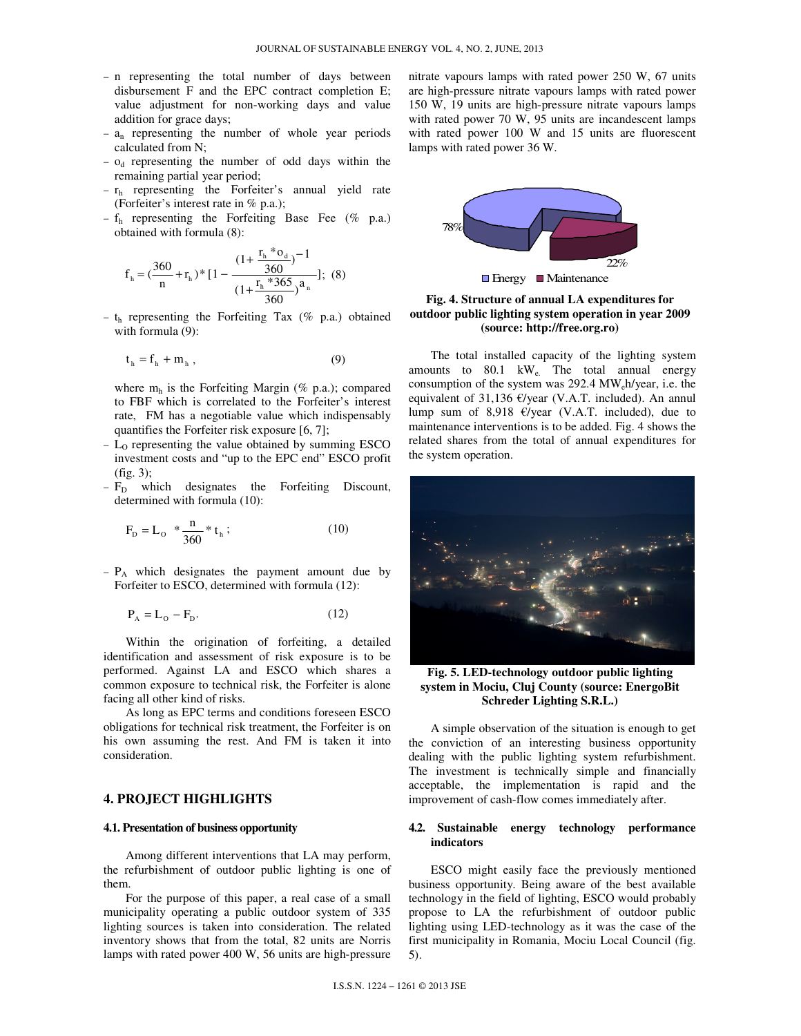- − n representing the total number of days between disbursement F and the EPC contract completion E; value adjustment for non-working days and value addition for grace days;
- − an representing the number of whole year periods calculated from N;
- − od representing the number of odd days within the remaining partial year period;
- − rh representing the Forfeiter's annual yield rate (Forfeiter's interest rate in % p.a.);
- − fh representing the Forfeiting Base Fee (% p.a.) obtained with formula (8):

$$
f_{h} = \left(\frac{360}{n} + r_{h}\right) * \left[1 - \frac{\left(1 + \frac{r_{h} * o_{d}}{360}\right)^{-1}}{\left(1 + \frac{r_{h} * 365}{360}\right)^{a_{n}}}\right]; (8)
$$

− t<sup>h</sup> representing the Forfeiting Tax (% p.a.) obtained with formula (9):

$$
t_h = f_h + m_h , \qquad (9)
$$

where  $m_h$  is the Forfeiting Margin (% p.a.); compared to FBF which is correlated to the Forfeiter's interest rate, FM has a negotiable value which indispensably quantifies the Forfeiter risk exposure [6, 7];

- − LO representing the value obtained by summing ESCO investment costs and "up to the EPC end" ESCO profit (fig. 3);
- − F<sub>D</sub> which designates the Forfeiting Discount, determined with formula (10):

$$
F_{D} = L_{o} * \frac{n}{360} * t_{h} ; \qquad (10)
$$

− PA which designates the payment amount due by Forfeiter to ESCO, determined with formula (12):

$$
\mathbf{P}_{\mathbf{A}} = \mathbf{L}_{\mathbf{O}} - \mathbf{F}_{\mathbf{D}}.\tag{12}
$$

Within the origination of forfeiting, a detailed identification and assessment of risk exposure is to be performed. Against LA and ESCO which shares a common exposure to technical risk, the Forfeiter is alone facing all other kind of risks.

As long as EPC terms and conditions foreseen ESCO obligations for technical risk treatment, the Forfeiter is on his own assuming the rest. And FM is taken it into consideration.

# **4. PROJECT HIGHLIGHTS**

#### **4.1. Presentation of business opportunity**

Among different interventions that LA may perform, the refurbishment of outdoor public lighting is one of them.

For the purpose of this paper, a real case of a small municipality operating a public outdoor system of 335 lighting sources is taken into consideration. The related inventory shows that from the total, 82 units are Norris lamps with rated power 400 W, 56 units are high-pressure nitrate vapours lamps with rated power 250 W, 67 units are high-pressure nitrate vapours lamps with rated power 150 W, 19 units are high-pressure nitrate vapours lamps with rated power 70 W, 95 units are incandescent lamps with rated power 100 W and 15 units are fluorescent lamps with rated power 36 W.



**Fig. 4. Structure of annual LA expenditures for outdoor public lighting system operation in year 2009 (source: http://free.org.ro)** 

The total installed capacity of the lighting system amounts to 80.1 kW<sub>e.</sub> The total annual energy consumption of the system was  $292.4 \text{ MW}$ <sub>e</sub>h/year, i.e. the equivalent of 31,136  $\epsilon$ /year (V.A.T. included). An annul lump sum of 8,918  $\epsilon$ /year (V.A.T. included), due to maintenance interventions is to be added. Fig. 4 shows the related shares from the total of annual expenditures for the system operation.



**Fig. 5. LED-technology outdoor public lighting system in Mociu, Cluj County (source: EnergoBit Schreder Lighting S.R.L.)** 

A simple observation of the situation is enough to get the conviction of an interesting business opportunity dealing with the public lighting system refurbishment. The investment is technically simple and financially acceptable, the implementation is rapid and the improvement of cash-flow comes immediately after.

#### **4.2. Sustainable energy technology performance indicators**

ESCO might easily face the previously mentioned business opportunity. Being aware of the best available technology in the field of lighting, ESCO would probably propose to LA the refurbishment of outdoor public lighting using LED-technology as it was the case of the first municipality in Romania, Mociu Local Council (fig. 5).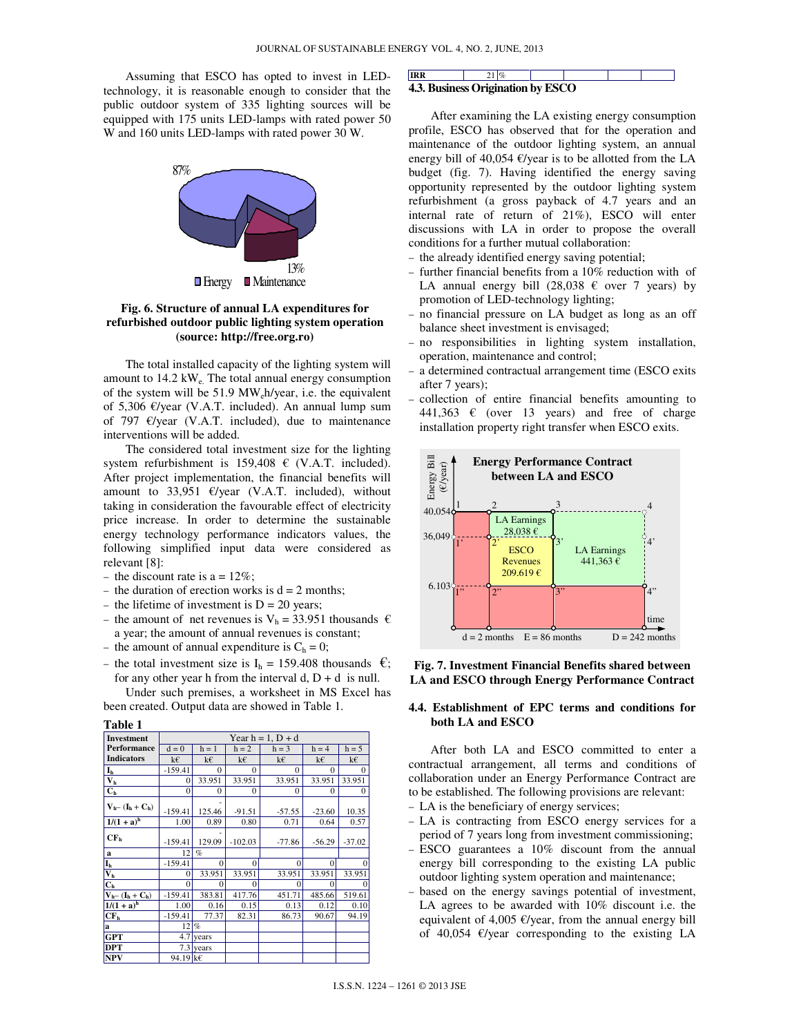Assuming that ESCO has opted to invest in LEDtechnology, it is reasonable enough to consider that the public outdoor system of 335 lighting sources will be equipped with 175 units LED-lamps with rated power 50 W and 160 units LED-lamps with rated power 30 W.



## **Fig. 6. Structure of annual LA expenditures for refurbished outdoor public lighting system operation (source: http://free.org.ro)**

The total installed capacity of the lighting system will amount to  $14.2 \text{ kW}$ . The total annual energy consumption of the system will be 51.9 MWeh/year, i.e. the equivalent of 5,306 €/year (V.A.T. included). An annual lump sum of 797  $\epsilon$ /year (V.A.T. included), due to maintenance interventions will be added.

The considered total investment size for the lighting system refurbishment is  $159,408 \text{ } \in$  (V.A.T. included). After project implementation, the financial benefits will amount to 33,951 €/year (V.A.T. included), without taking in consideration the favourable effect of electricity price increase. In order to determine the sustainable energy technology performance indicators values, the following simplified input data were considered as relevant [8]:

- $-$  the discount rate is a = 12%;
- − the duration of erection works is d = 2 months;
- − the lifetime of investment is D = 20 years;
- − the amount of net revenues is  $V_h$  = 33.951 thousands € a year; the amount of annual revenues is constant;
- $-$  the amount of annual expenditure is  $C_h = 0$ ;
- − the total investment size is  $I<sub>h</sub>$  = 159.408 thousands  $\epsilon$ ; for any other year h from the interval  $d, D + d$  is null.

Under such premises, a worksheet in MS Excel has been created. Output data are showed in Table 1.

| <b>Investment</b>                            | Year $h = 1$ , $D + d$ |             |           |          |          |              |  |  |
|----------------------------------------------|------------------------|-------------|-----------|----------|----------|--------------|--|--|
| Performance                                  | $d = 0$                | $h = 1$     | $h = 2$   | $h = 3$  | $h = 4$  | $h = 5$      |  |  |
| <b>Indicators</b>                            | k€                     | k€          | k€        | k€       | k€       | k€           |  |  |
| $\mathbf{I}_{\mathbf{h}}$                    | $-159.41$              | $\Omega$    | $\Omega$  | $\Omega$ | $\theta$ | $\Omega$     |  |  |
| $\overline{\mathbf{V}_{\mathbf{h}}}$         | 0                      | 33.951      | 33.951    | 33.951   | 33.951   | 33.951       |  |  |
| C <sub>h</sub>                               | 0                      | $\Omega$    | $\theta$  | $\Omega$ | $\Omega$ | $^{0}$       |  |  |
| $V_{h}$ – $(I_h + C_h)$                      |                        |             |           |          |          |              |  |  |
|                                              | $-159.41$              | 125.46      | $-91.51$  | $-57.55$ | $-23.60$ | 10.35        |  |  |
| $1/(1 + a)^h$                                | 1.00                   | 0.89        | 0.80      | 0.71     | 0.64     | 0.57         |  |  |
| CF <sub>h</sub>                              |                        |             |           |          |          |              |  |  |
|                                              | $-159.41$              | 129.09      | $-102.03$ | $-77.86$ | $-56.29$ | $-37.02$     |  |  |
| a                                            | 12                     | $\%$        |           |          |          |              |  |  |
| I <sub>h</sub>                               | $-159.41$              | $\Omega$    | $\Omega$  | $\Omega$ | $\Omega$ | $\mathbf{0}$ |  |  |
| $\overline{\mathbf{V}_{\mathbf{h}}}$         | 0                      | 33.951      | 33.951    | 33.951   | 33.951   | 33.951       |  |  |
| C <sub>h</sub>                               | $\Omega$               | $\Omega$    | 0         | $\Omega$ | $\Omega$ | $\mathbf{0}$ |  |  |
| $V_{h}$ - (I <sub>h</sub> + C <sub>h</sub> ) | $-159.41$              | 383.81      | 417.76    | 451.71   | 485.66   | 519.61       |  |  |
| $1/(1 + a)^h$                                | 1.00                   | 0.16        | 0.15      | 0.13     | 0.12     | 0.10         |  |  |
| CF <sub>h</sub>                              | $-159.41$              | 77.37       | 82.31     | 86.73    | 90.67    | 94.19        |  |  |
| a                                            | 12                     | $\%$        |           |          |          |              |  |  |
| <b>GPT</b>                                   | 4.7                    | years       |           |          |          |              |  |  |
| <b>DPT</b>                                   |                        | $7.3$ years |           |          |          |              |  |  |
| <b>NPV</b>                                   | 94.19 k€               |             |           |          |          |              |  |  |

#### **IRR** 21 % **4.3. Business Origination by ESCO**

After examining the LA existing energy consumption profile, ESCO has observed that for the operation and maintenance of the outdoor lighting system, an annual energy bill of 40,054  $\epsilon$ /year is to be allotted from the LA budget (fig. 7). Having identified the energy saving opportunity represented by the outdoor lighting system refurbishment (a gross payback of 4.7 years and an internal rate of return of 21%), ESCO will enter discussions with LA in order to propose the overall conditions for a further mutual collaboration:

- − the already identified energy saving potential;
- − further financial benefits from a 10% reduction with of LA annual energy bill  $(28,038 \text{ } \infty)$  over 7 years) by promotion of LED-technology lighting;
- − no financial pressure on LA budget as long as an off balance sheet investment is envisaged;
- − no responsibilities in lighting system installation, operation, maintenance and control;
- − a determined contractual arrangement time (ESCO exits after 7 years);
- − collection of entire financial benefits amounting to 441,363  $\epsilon$  (over 13 years) and free of charge installation property right transfer when ESCO exits.



**Fig. 7. Investment Financial Benefits shared between LA and ESCO through Energy Performance Contract** 

#### **4.4. Establishment of EPC terms and conditions for both LA and ESCO**

After both LA and ESCO committed to enter a contractual arrangement, all terms and conditions of collaboration under an Energy Performance Contract are to be established. The following provisions are relevant:

- − LA is the beneficiary of energy services;
- − LA is contracting from ESCO energy services for a period of 7 years long from investment commissioning;
- − ESCO guarantees a 10% discount from the annual energy bill corresponding to the existing LA public outdoor lighting system operation and maintenance;
- − based on the energy savings potential of investment, LA agrees to be awarded with 10% discount i.e. the equivalent of 4,005 €/year, from the annual energy bill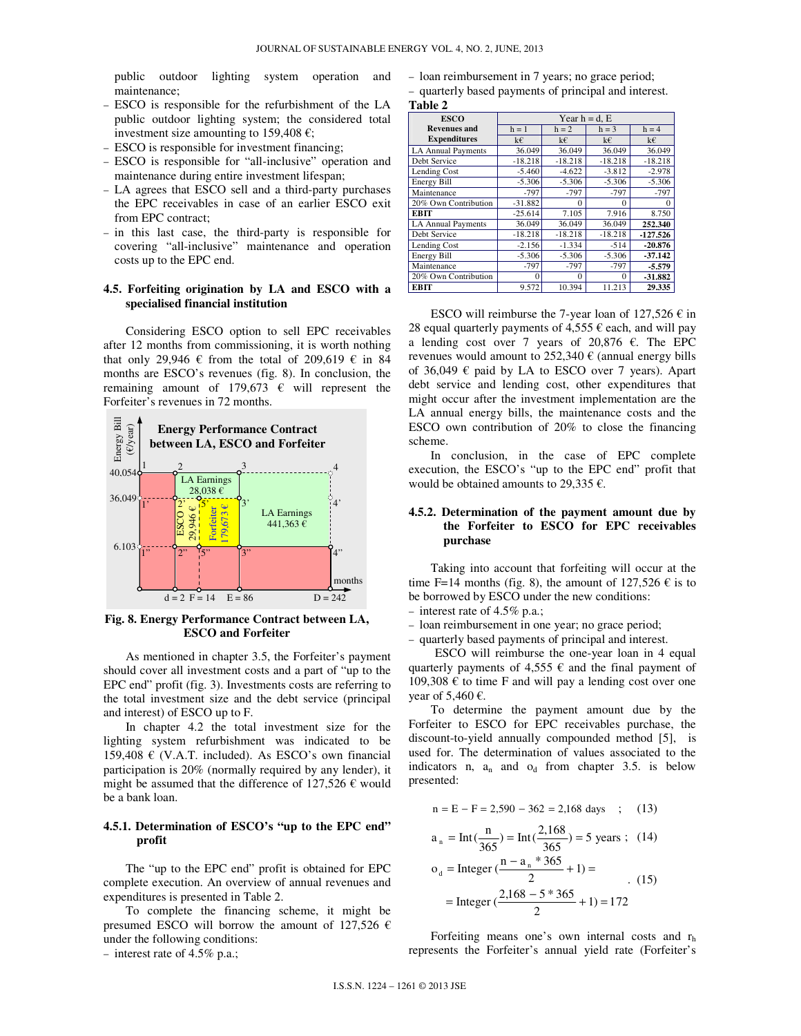public outdoor lighting system operation and maintenance;

- − ESCO is responsible for the refurbishment of the LA public outdoor lighting system; the considered total investment size amounting to 159,408  $\epsilon$ ;
- − ESCO is responsible for investment financing;
- − ESCO is responsible for "all-inclusive" operation and maintenance during entire investment lifespan;
- − LA agrees that ESCO sell and a third-party purchases the EPC receivables in case of an earlier ESCO exit from EPC contract;
- − in this last case, the third-party is responsible for covering "all-inclusive" maintenance and operation costs up to the EPC end.

#### **4.5. Forfeiting origination by LA and ESCO with a specialised financial institution**

Considering ESCO option to sell EPC receivables after 12 months from commissioning, it is worth nothing that only 29,946  $\epsilon$  from the total of 209,619  $\epsilon$  in 84 months are ESCO's revenues (fig. 8). In conclusion, the remaining amount of 179,673  $\epsilon$  will represent the Forfeiter's revenues in 72 months.



**Fig. 8. Energy Performance Contract between LA, ESCO and Forfeiter** 

As mentioned in chapter 3.5, the Forfeiter's payment should cover all investment costs and a part of "up to the EPC end" profit (fig. 3). Investments costs are referring to the total investment size and the debt service (principal and interest) of ESCO up to F.

In chapter 4.2 the total investment size for the lighting system refurbishment was indicated to be 159,408  $\in$  (V.A.T. included). As ESCO's own financial participation is 20% (normally required by any lender), it might be assumed that the difference of 127,526  $\epsilon$  would be a bank loan.

## **4.5.1. Determination of ESCO's "up to the EPC end" profit**

The "up to the EPC end" profit is obtained for EPC complete execution. An overview of annual revenues and expenditures is presented in Table 2.

To complete the financing scheme, it might be presumed ESCO will borrow the amount of 127,526  $\epsilon$ under the following conditions:

− interest rate of 4.5% p.a.;

- − loan reimbursement in 7 years; no grace period;
- − quarterly based payments of principal and interest. **Table 2**

| <b>ESCO</b>               | Year $h = d$ . E |           |           |            |  |  |
|---------------------------|------------------|-----------|-----------|------------|--|--|
| <b>Revenues and</b>       | $h = 1$          | $h = 2$   | $h = 3$   | $h = 4$    |  |  |
| <b>Expenditures</b>       | k€               | k€        | k€        | k€         |  |  |
| <b>LA Annual Payments</b> | 36.049           | 36.049    | 36.049    | 36.049     |  |  |
| Debt Service              | $-18.218$        | $-18.218$ | $-18.218$ | $-18.218$  |  |  |
| Lending Cost              | $-5.460$         | $-4.622$  | $-3.812$  | $-2.978$   |  |  |
| Energy Bill               | $-5.306$         | $-5.306$  | $-5.306$  | $-5.306$   |  |  |
| Maintenance               | $-797$           | $-797$    | $-797$    | $-797$     |  |  |
| 20% Own Contribution      | $-31.882$        | $\theta$  | $\theta$  | 0          |  |  |
| <b>EBIT</b>               | $-25.614$        | 7.105     | 7.916     | 8.750      |  |  |
| <b>LA Annual Payments</b> | 36.049           | 36.049    | 36.049    | 252.340    |  |  |
| Debt Service              | $-18.218$        | $-18.218$ | $-18.218$ | $-127.526$ |  |  |
| Lending Cost              | $-2.156$         | $-1.334$  | $-514$    | $-20.876$  |  |  |
| Energy Bill               | $-5.306$         | $-5.306$  | $-5.306$  | $-37.142$  |  |  |
| Maintenance               | $-797$           | $-797$    | $-797$    | -5.579     |  |  |
| 20% Own Contribution      | $\Omega$         | $\theta$  | $\Omega$  | $-31.882$  |  |  |
| <b>EBIT</b>               | 9.572            | 10.394    | 11.213    | 29.335     |  |  |

ESCO will reimburse the 7-year loan of  $127,526 \in \mathbb{N}$ 28 equal quarterly payments of 4,555  $\epsilon$  each, and will pay a lending cost over 7 years of 20,876  $\epsilon$ . The EPC revenues would amount to  $252,340 \in$  (annual energy bills of 36,049  $\epsilon$  paid by LA to ESCO over 7 years). Apart debt service and lending cost, other expenditures that might occur after the investment implementation are the LA annual energy bills, the maintenance costs and the ESCO own contribution of 20% to close the financing scheme.

In conclusion, in the case of EPC complete execution, the ESCO's "up to the EPC end" profit that would be obtained amounts to 29,335  $\epsilon$ .

# **4.5.2. Determination of the payment amount due by the Forfeiter to ESCO for EPC receivables purchase**

Taking into account that forfeiting will occur at the time F=14 months (fig. 8), the amount of  $127,526 \text{ } \in \text{ is to }$ be borrowed by ESCO under the new conditions:

- − interest rate of 4.5% p.a.;
- − loan reimbursement in one year; no grace period;
- − quarterly based payments of principal and interest.

ESCO will reimburse the one-year loan in 4 equal quarterly payments of  $4,555 \in \mathbb{R}$  and the final payment of 109,308  $\epsilon$  to time F and will pay a lending cost over one year of 5,460  $\epsilon$ .

To determine the payment amount due by the Forfeiter to ESCO for EPC receivables purchase, the discount-to-yield annually compounded method [5], is used for. The determination of values associated to the indicators n,  $a_n$  and  $o_d$  from chapter 3.5. is below presented:

$$
n = E - F = 2,590 - 362 = 2,168 \text{ days} ; (13)
$$

$$
a_n = Int(\frac{n}{365}) = Int(\frac{2,168}{365}) = 5 \text{ years}; \quad (14)
$$
  
\n
$$
o_d = Integer(\frac{n - a_n * 365}{2} + 1) =
$$
  
\n
$$
= Integer(\frac{2,168 - 5 * 365}{2} + 1) = 172
$$

Forfeiting means one's own internal costs and  $r<sub>h</sub>$ represents the Forfeiter's annual yield rate (Forfeiter's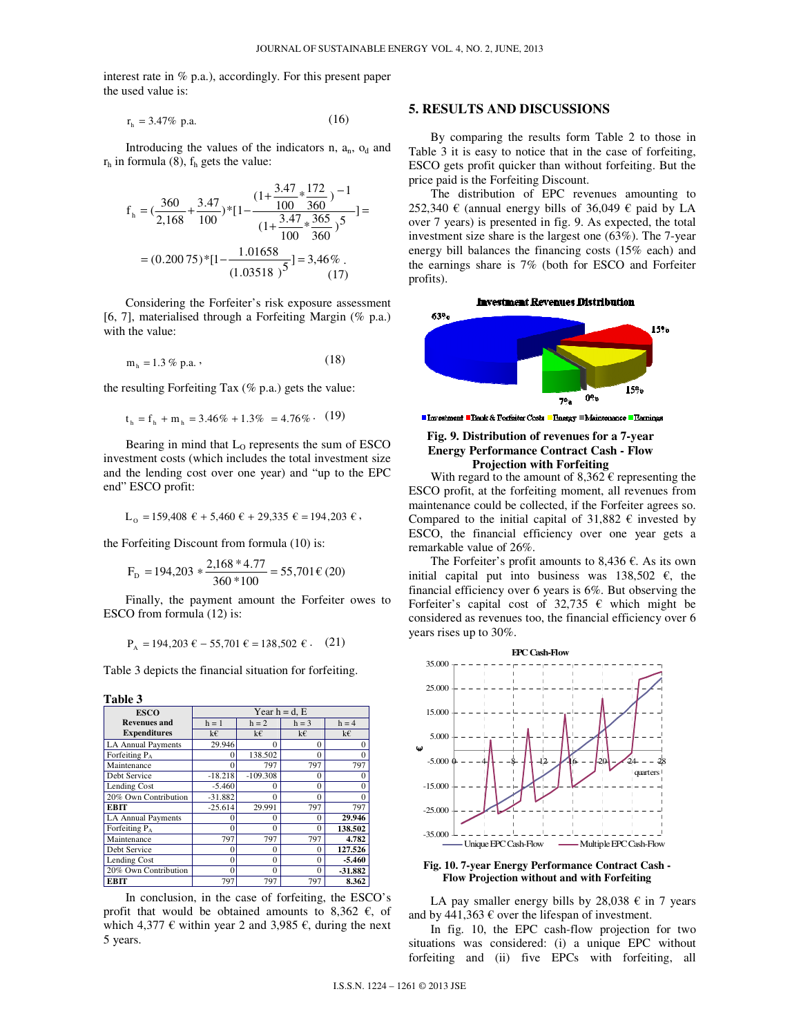interest rate in % p.a.), accordingly. For this present paper the used value is:

$$
r_h = 3.47\% \text{ p.a.}
$$
 (16)

Introducing the values of the indicators  $n$ ,  $a_n$ ,  $o_d$  and  $r<sub>h</sub>$  in formula (8),  $f<sub>h</sub>$  gets the value:

$$
f_h = \left(\frac{360}{2,168} + \frac{3.47}{100}\right) * [1 - \frac{\left(1 + \frac{3.47}{100} * \frac{172}{360}\right)^{-1}}{\left(1 + \frac{3.47}{100} * \frac{365}{360}\right)^{5}}] =
$$
  
=  $(0.20075) * [1 - \frac{1.01658}{(1.03518)^{5}}] = 3,46\%$  (17)

Considering the Forfeiter's risk exposure assessment [6, 7], materialised through a Forfeiting Margin (% p.a.) with the value:

$$
m_h = 1.3 \% p.a. \t\t(18)
$$

the resulting Forfeiting Tax  $(\%$  p.a.) gets the value:

$$
t_h = f_h + m_h = 3.46\% + 1.3\% = 4.76\% \cdot (19)
$$

Bearing in mind that  $L_0$  represents the sum of ESCO investment costs (which includes the total investment size and the lending cost over one year) and "up to the EPC end" ESCO profit:

$$
L_0 = 159,408 \ \epsilon + 5,460 \ \epsilon + 29,335 \ \epsilon = 194,203 \ \epsilon,
$$

the Forfeiting Discount from formula (10) is:

$$
FD = 194,203 * \frac{2,168 * 4.77}{360 * 100} = 55,701 \text{ € } (20)
$$

Finally, the payment amount the Forfeiter owes to ESCO from formula (12) is:

$$
P_A = 194,203 \ \epsilon - 55,701 \ \epsilon = 138,502 \ \epsilon \ . \tag{21}
$$

Table 3 depicts the financial situation for forfeiting.

#### **Table 3**

| <b>ESCO</b>               | Year $h = d$ , E |            |          |           |  |  |
|---------------------------|------------------|------------|----------|-----------|--|--|
| <b>Revenues</b> and       | $h = 1$          | $h = 2$    | $h = 3$  | $h = 4$   |  |  |
| <b>Expenditures</b>       | k€               | k€         | k€       | k€        |  |  |
| <b>LA Annual Payments</b> | 29.946           | $\Omega$   | $\theta$ | 0         |  |  |
| Forfeiting P <sub>A</sub> | 0                | 138.502    | $\theta$ | 0         |  |  |
| Maintenance               | U                | 797        | 797      | 797       |  |  |
| Debt Service              | $-18.218$        | $-109.308$ | 0        |           |  |  |
| Lending Cost              | $-5.460$         | 0          | 0        | 0         |  |  |
| 20% Own Contribution      | $-31.882$        | $\Omega$   | $\theta$ |           |  |  |
| <b>EBIT</b>               | $-25.614$        | 29.991     | 797      | 797       |  |  |
| <b>LA Annual Payments</b> | U                | $\Omega$   | 0        | 29.946    |  |  |
| Forfeiting $P_A$          | U                | $\Omega$   | $\Omega$ | 138.502   |  |  |
| Maintenance               | 797              | 797        | 797      | 4.782     |  |  |
| Debt Service              | 0                | $\Omega$   | 0        | 127.526   |  |  |
| Lending Cost              | $\Omega$         | $\theta$   | $\theta$ | $-5.460$  |  |  |
| 20% Own Contribution      | $\Omega$         | $\Omega$   | $\Omega$ | $-31.882$ |  |  |
| <b>EBIT</b>               | 797              | 797        | 797      | 8.362     |  |  |

In conclusion, in the case of forfeiting, the ESCO's profit that would be obtained amounts to 8,362  $\epsilon$ , of which 4,377  $\epsilon$  within year 2 and 3,985  $\epsilon$ , during the next 5 years.

## **5. RESULTS AND DISCUSSIONS**

By comparing the results form Table 2 to those in Table 3 it is easy to notice that in the case of forfeiting, ESCO gets profit quicker than without forfeiting. But the price paid is the Forfeiting Discount.

The distribution of EPC revenues amounting to 252,340  $\epsilon$  (annual energy bills of 36,049  $\epsilon$  paid by LA over 7 years) is presented in fig. 9. As expected, the total investment size share is the largest one (63%). The 7-year energy bill balances the financing costs (15% each) and the earnings share is 7% (both for ESCO and Forfeiter profits).





■ Investment ■ Bank & Forfeiter Costs ■ Energy ■ Maintenance ■ Barnings

#### **Fig. 9. Distribution of revenues for a 7-year Energy Performance Contract Cash - Flow Projection with Forfeiting**

With regard to the amount of  $8,362 \in \mathbb{C}$  representing the ESCO profit, at the forfeiting moment, all revenues from maintenance could be collected, if the Forfeiter agrees so. Compared to the initial capital of 31,882  $\epsilon$  invested by ESCO, the financial efficiency over one year gets a remarkable value of 26%.

The Forfeiter's profit amounts to 8,436  $\epsilon$ . As its own initial capital put into business was  $138,502 \text{ } \infty$ , the financial efficiency over 6 years is 6%. But observing the Forfeiter's capital cost of 32,735  $\epsilon$  which might be considered as revenues too, the financial efficiency over 6 years rises up to 30%.



**Fig. 10. 7-year Energy Performance Contract Cash - Flow Projection without and with Forfeiting** 

LA pay smaller energy bills by  $28,038 \text{ } \in \text{ } 7$  years and by 441,363  $\epsilon$  over the lifespan of investment.

In fig. 10, the EPC cash-flow projection for two situations was considered: (i) a unique EPC without forfeiting and (ii) five EPCs with forfeiting, all